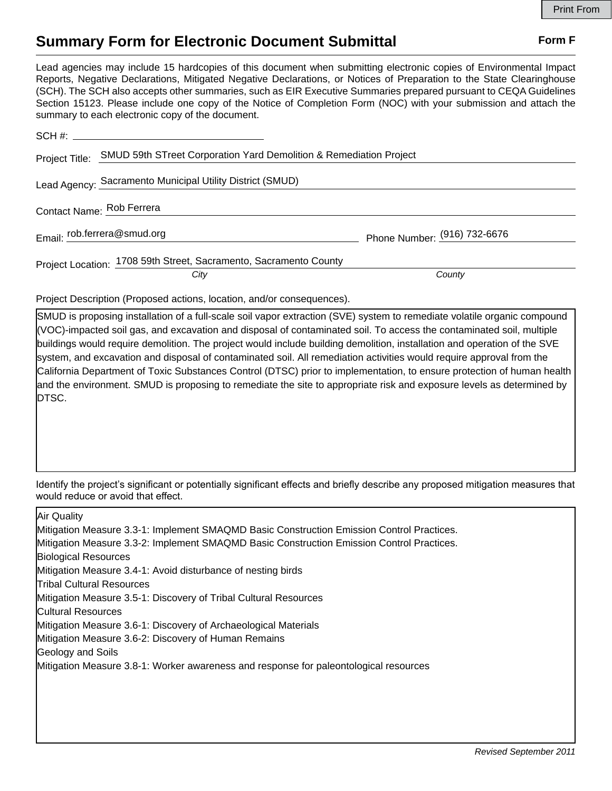## **Summary Form for Electronic Document Submittal Form F Form F**

Lead agencies may include 15 hardcopies of this document when submitting electronic copies of Environmental Impact Reports, Negative Declarations, Mitigated Negative Declarations, or Notices of Preparation to the State Clearinghouse (SCH). The SCH also accepts other summaries, such as EIR Executive Summaries prepared pursuant to CEQA Guidelines Section 15123. Please include one copy of the Notice of Completion Form (NOC) with your submission and attach the summary to each electronic copy of the document.

| Project Title: SMUD 59th STreet Corporation Yard Demolition & Remediation Project |                              |
|-----------------------------------------------------------------------------------|------------------------------|
| Lead Agency: Sacramento Municipal Utility District (SMUD)                         |                              |
| Contact Name: Rob Ferrera                                                         |                              |
| Email: rob.ferrera@smud.org                                                       | Phone Number: (916) 732-6676 |
| Project Location: 1708 59th Street, Sacramento, Sacramento County<br>City         | County                       |

Project Description (Proposed actions, location, and/or consequences).

SMUD is proposing installation of a full-scale soil vapor extraction (SVE) system to remediate volatile organic compound (VOC)-impacted soil gas, and excavation and disposal of contaminated soil. To access the contaminated soil, multiple buildings would require demolition. The project would include building demolition, installation and operation of the SVE system, and excavation and disposal of contaminated soil. All remediation activities would require approval from the California Department of Toxic Substances Control (DTSC) prior to implementation, to ensure protection of human health and the environment. SMUD is proposing to remediate the site to appropriate risk and exposure levels as determined by DTSC.

Identify the project's significant or potentially significant effects and briefly describe any proposed mitigation measures that would reduce or avoid that effect.

| Air Quality                                                                               |
|-------------------------------------------------------------------------------------------|
| Mitigation Measure 3.3-1: Implement SMAQMD Basic Construction Emission Control Practices. |
| Mitigation Measure 3.3-2: Implement SMAQMD Basic Construction Emission Control Practices. |
| <b>Biological Resources</b>                                                               |
| Mitigation Measure 3.4-1: Avoid disturbance of nesting birds                              |
| <b>Tribal Cultural Resources</b>                                                          |
| Mitigation Measure 3.5-1: Discovery of Tribal Cultural Resources                          |
| <b>Cultural Resources</b>                                                                 |
| Mitigation Measure 3.6-1: Discovery of Archaeological Materials                           |
| Mitigation Measure 3.6-2: Discovery of Human Remains                                      |
| Geology and Soils                                                                         |
| Mitigation Measure 3.8-1: Worker awareness and response for paleontological resources     |
|                                                                                           |
|                                                                                           |
|                                                                                           |